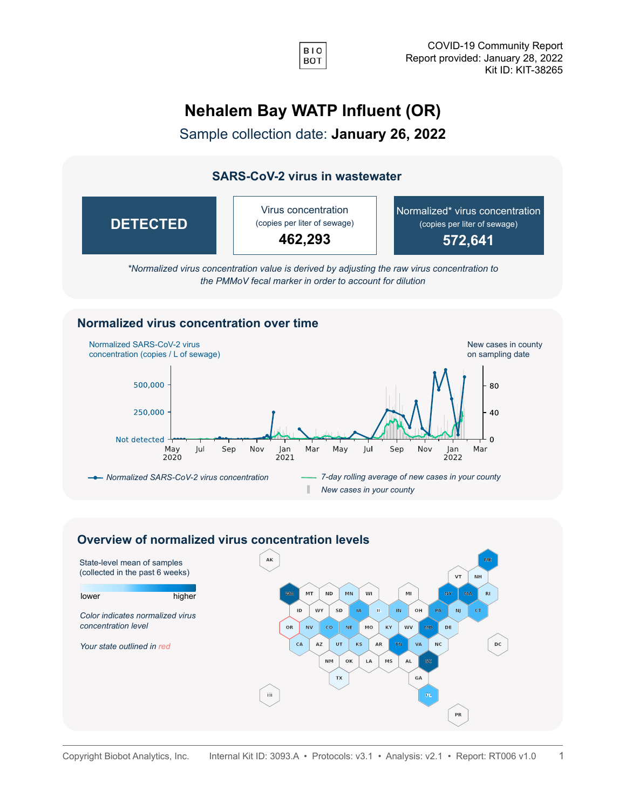

## **Nehalem Bay WATP Influent (OR)**

Sample collection date: **January 26, 2022**

## **SARS-CoV-2 virus in wastewater**

| <b>DETECTED</b> | Virus concentration<br>(copies per liter of sewage)<br>462,293 | Normalized* virus concentration<br>(copies per liter of sewage)<br>572,641 |
|-----------------|----------------------------------------------------------------|----------------------------------------------------------------------------|
|-----------------|----------------------------------------------------------------|----------------------------------------------------------------------------|

*\*Normalized virus concentration value is derived by adjusting the raw virus concentration to the PMMoV fecal marker in order to account for dilution*

## **Normalized virus concentration over time**